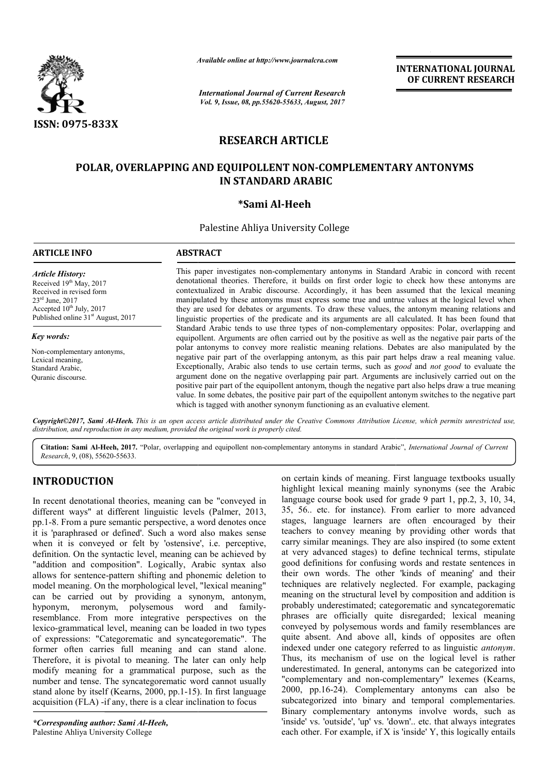

*Available online at http://www.journal http://www.journalcra.com*

*International Journal of Current Research Vol. 9, Issue, 08, pp.55620-55633, August, 2017* **INTERNATIONAL JOURNAL OF CURRENT RESEARCH** 

# **RESEARCH ARTICLE**

## **POLAR, OVERLAPPING AND EQUIPOLLENT NON NON-COMPLEMENTARY ANTONYMS COMPLEMENTARY IN STANDARD ARABIC**

## **\*Sami Al-Heeh**

Palestine Ahliya University College

| <b>ARTICLE INFO</b>                                                                                                                                                                      | <b>ABSTRACT</b>                                                                                                                                                                                                                                                                                                                                                                                                                                                                                                                                                                                                                                                                                                                                                                                                                                                                                                              |
|------------------------------------------------------------------------------------------------------------------------------------------------------------------------------------------|------------------------------------------------------------------------------------------------------------------------------------------------------------------------------------------------------------------------------------------------------------------------------------------------------------------------------------------------------------------------------------------------------------------------------------------------------------------------------------------------------------------------------------------------------------------------------------------------------------------------------------------------------------------------------------------------------------------------------------------------------------------------------------------------------------------------------------------------------------------------------------------------------------------------------|
| <b>Article History:</b><br>Received 19th May, 2017<br>Received in revised form<br>$23rd$ June, $2017$<br>Accepted $10^{th}$ July, 2017<br>Published online 31 <sup>st</sup> August, 2017 | This paper investigates non-complementary antonyms in Standard Arabic in concord with recent<br>denotational theories. Therefore, it builds on first order logic to check how these antonyms are<br>contextualized in Arabic discourse. Accordingly, it has been assumed that the lexical meaning<br>manipulated by these antonyms must express some true and untrue values at the logical level when<br>they are used for debates or arguments. To draw these values, the antonym meaning relations and<br>linguistic properties of the predicate and its arguments are all calculated. It has been found that                                                                                                                                                                                                                                                                                                              |
| Key words:<br>Non-complementary antonyms,<br>Lexical meaning.<br>Standard Arabic,<br>Ouranic discourse.                                                                                  | Standard Arabic tends to use three types of non-complementary opposites: Polar, overlapping and<br>equipollent. Arguments are often carried out by the positive as well as the negative pair parts of the<br>polar antonyms to convey more realistic meaning relations. Debates are also manipulated by the<br>negative pair part of the overlapping antonym, as this pair part helps draw a real meaning value.<br>Exceptionally, Arabic also tends to use certain terms, such as good and not good to evaluate the<br>argument done on the negative overlapping pair part. Arguments are inclusively carried out on the<br>positive pair part of the equipollent antonym, though the negative part also helps draw a true meaning<br>value. In some debates, the positive pair part of the equipollent antonym switches to the negative part<br>which is tagged with another synonym functioning as an evaluative element. |

*Copyright©2017, Sami Al-Heeh. This is an open access article distributed under the Creative Commons Attribution License, which ribution which permits unrestricted use, distribution, and reproduction in any medium, provided the original work is properly cited.*

Citation: Sami Al-Heeh, 2017. "Polar, overlapping and equipollent non-complementary antonyms in standard Arabic", *International Journal of Current Research*, 9, (08), 55620-55633.

## **INTRODUCTION**

In recent denotational theories, meaning can be "conveyed in different ways" at different linguistic levels (Palmer, 2013, pp.1-8. From a pure semantic perspective, a word denotes once it is 'paraphrased or defined'. Such a word also makes sense when it is conveyed or felt by 'ostensive', i.e. perceptive, definition. On the syntactic level, meaning can be achieved by "addition and composition". Logically, Arabic syntax also allows for sentence-pattern shifting and phonemic deletion to model meaning. On the morphological level, "lexical meaning" can be carried out by providing a synonym, antonym, hyponym, meronym, polysemous word and family resemblance. From more integrative perspectives on the lexico-grammatical level, meaning can be loaded in two types of expressions: "Categorematic and syncategorematic". The former often carries full meaning and can stand alone. Therefore, it is pivotal to meaning. The later can only help modify meaning for a grammatical purpose, such as the number and tense. The syncategorematic word cannot usually stand alone by itself (Kearns, 2000, pp.1-15). In first language acquisition (FLA) -if any, there is a clear inclination to focus 8. From a pure semantic perspective, a word denotes once<br>'paraphrased or defined'. Such a word also makes sense<br>
i it is conveyed or felt by 'ostensive', i.e. perceptive,<br>
ition. On the syntactic level, meaning can be achi grammatical level, meaning can be loaded in two types<br>ressions: "Categorematic and syncategorematic". The<br>often carries full meaning and can stand alone.<br>ore, it is pivotal to meaning. The later can only help<br>r meaning for

*\*Corresponding author: Sami Al-Heeh,* Palestine Ahliya University College

in the more integration and the more integral to the sum of meaning. First language textbooks usually<br>the hifferent linguistic levels (Palmer, 2013, 35, 56. etc. for instance, From ealined the Arabic<br>section and different highlight lexical meaning mainly synonyms (see the Arabic language course book used for grade 9 part 1, pp.2, 3, 10, 34, 35, 56.. etc. for instance). From earlier to more advanced stages, language learners are often encouraged by their teachers to convey meaning by providing other words that carry similar meanings. They are also inspired (to some extent at very advanced stages) to define technical terms, stipulate good definitions for confusing words and restate sentences in their own words. The other 'kinds of meaning' and their techniques are relatively neglected. For example, packaging meaning on the structural level by composition and addition is their own words. The other 'kinds of meaning' and their techniques are relatively neglected. For example, packaging meaning on the structural level by composition and addition is probably underestimated; categorematic and phrases are officially quite disregarded; lexical meaning conveyed by polysemous words and family resemblances are quite absent. And above all, kinds of opposites are often indexed under one category referred to as linguistic *antonym*. Thus, its mechanism of use on the logical level is rather underestimated. In general, antonyms can be categorized into "complementary and non-complementary" lexemes (Kearns, 2000, pp.16-24). Complementary antonyms can also be subcategorized into binary and temporal complementaries. Binary complementary antonyms involve words, such as 'inside' vs. 'outside', 'up' vs. 'down'.. etc. that always integrates each other. For example, if X is 'inside' Y, this logically entails certain kinds of meaning. First language textbooks usually hlight lexical meaning mainly synonyms (see the Arabic guage course book used for grade 9 part 1, pp.2, 3, 10, 34, 56.. etc. for instance). From earlier to more ad phrases are officially quite disregarded; lexical meaning conveyed by polysemous words and family resemblances are quite absent. And above all, kinds of opposites are often indexed under one category referred to as linguis s mechanism of use on the logical level is rather imated. In general, antonyms can be categorized into mentary and non-complementary" lexemes (Kearns, pp.16-24). Complementary antonyms can also be gorized into binary and t **INTERNATIONAL JOURNAL CONTROLL JOURNAL SCALE AND AND TRIMINATION CONTROLLY CONTROLLY CONTROLLY CONTROLLY CONTROLLY CONTROLLY CONTROLLY TO THE NEW CONTROLLY TO THE NEW THAT TO THE NEW THE SECRET TO NON-COMPLEMENT ARY ANTO**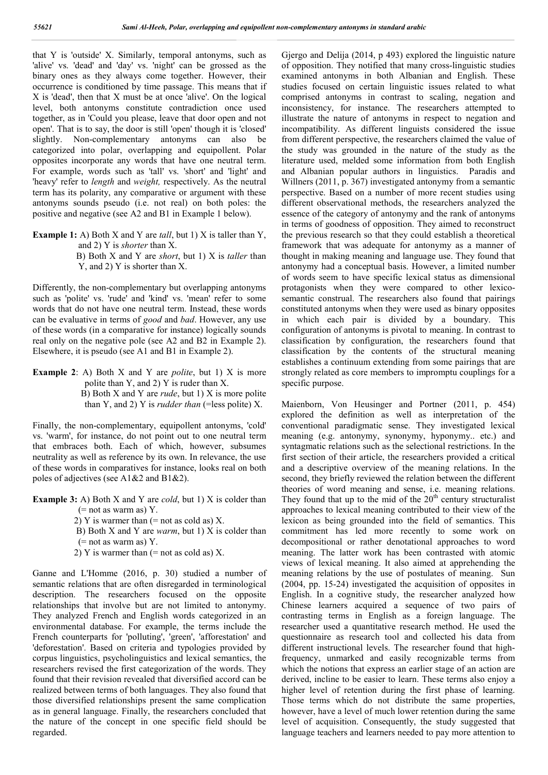that Y is 'outside' X. Similarly, temporal antonyms, such as 'alive' vs. 'dead' and 'day' vs. 'night' can be grossed as the binary ones as they always come together. However, their occurrence is conditioned by time passage. This means that if X is 'dead', then that X must be at once 'alive'. On the logical level, both antonyms constitute contradiction once used together, as in 'Could you please, leave that door open and not open'. That is to say, the door is still 'open' though it is 'closed' slightly. Non-complementary antonyms can also be categorized into polar, overlapping and equipollent. Polar opposites incorporate any words that have one neutral term. For example, words such as 'tall' vs. 'short' and 'light' and 'heavy' refer to *length* and *weight,* respectively. As the neutral term has its polarity, any comparative or argument with these antonyms sounds pseudo (i.e. not real) on both poles: the positive and negative (see A2 and B1 in Example 1 below).

- **Example 1:** A) Both X and Y are *tall*, but 1) X is taller than Y, and 2) Y is *shorter* than X.
	- B) Both X and Y are *short*, but 1) X is *taller* than Y, and 2) Y is shorter than X.

Differently, the non-complementary but overlapping antonyms such as 'polite' vs. 'rude' and 'kind' vs. 'mean' refer to some words that do not have one neutral term. Instead, these words can be evaluative in terms of *good* and *bad*. However, any use of these words (in a comparative for instance) logically sounds real only on the negative pole (see A2 and B2 in Example 2). Elsewhere, it is pseudo (see A1 and B1 in Example 2).

**Example 2**: A) Both X and Y are *polite*, but 1) X is more polite than Y, and 2) Y is ruder than X. B) Both X and Y are *rude*, but 1) X is more polite than Y, and 2) Y is *rudder than* (=less polite) X.

Finally, the non-complementary, equipollent antonyms, 'cold' vs. 'warm', for instance, do not point out to one neutral term that embraces both. Each of which, however, subsumes neutrality as well as reference by its own. In relevance, the use of these words in comparatives for instance, looks real on both poles of adjectives (see A1&2 and B1&2).

- **Example 3:** A) Both X and Y are *cold*, but 1) X is colder than  $(=$  not as warm as) Y.
	- 2) Y is warmer than  $(= not as cold as) X$ .
	- B) Both X and Y are *warm*, but 1) X is colder than  $(=$  not as warm as) Y.
	- 2) Y is warmer than  $(=$  not as cold as) X.

Ganne and L'Homme (2016, p. 30) studied a number of semantic relations that are often disregarded in terminological description. The researchers focused on the opposite relationships that involve but are not limited to antonymy. They analyzed French and English words categorized in an environmental database. For example, the terms include the French counterparts for 'polluting', 'green', 'afforestation' and 'deforestation'. Based on criteria and typologies provided by corpus linguistics, psycholinguistics and lexical semantics, the researchers revised the first categorization of the words. They found that their revision revealed that diversified accord can be realized between terms of both languages. They also found that those diversified relationships present the same complication as in general language. Finally, the researchers concluded that the nature of the concept in one specific field should be regarded.

Gjergo and Delija (2014, p 493) explored the linguistic nature of opposition. They notified that many cross-linguistic studies examined antonyms in both Albanian and English. These studies focused on certain linguistic issues related to what comprised antonyms in contrast to scaling, negation and inconsistency, for instance. The researchers attempted to illustrate the nature of antonyms in respect to negation and incompatibility. As different linguists considered the issue from different perspective, the researchers claimed the value of the study was grounded in the nature of the study as the literature used, melded some information from both English and Albanian popular authors in linguistics. Paradis and Willners (2011, p. 367) investigated antonymy from a semantic perspective. Based on a number of more recent studies using different observational methods, the researchers analyzed the essence of the category of antonymy and the rank of antonyms in terms of goodness of opposition. They aimed to reconstruct the previous research so that they could establish a theoretical framework that was adequate for antonymy as a manner of thought in making meaning and language use. They found that antonymy had a conceptual basis. However, a limited number of words seem to have specific lexical status as dimensional protagonists when they were compared to other lexicosemantic construal. The researchers also found that pairings constituted antonyms when they were used as binary opposites in which each pair is divided by a boundary. This configuration of antonyms is pivotal to meaning. In contrast to classification by configuration, the researchers found that classification by the contents of the structural meaning establishes a continuum extending from some pairings that are strongly related as core members to impromptu couplings for a specific purpose.

Maienborn, Von Heusinger and Portner (2011, p. 454) explored the definition as well as interpretation of the conventional paradigmatic sense. They investigated lexical meaning (e.g. antonymy, synonymy, hyponymy.. etc.) and syntagmatic relations such as the selectional restrictions. In the first section of their article, the researchers provided a critical and a descriptive overview of the meaning relations. In the second, they briefly reviewed the relation between the different theories of word meaning and sense, i.e. meaning relations. They found that up to the mid of the  $20<sup>th</sup>$  century structuralist approaches to lexical meaning contributed to their view of the lexicon as being grounded into the field of semantics. This commitment has led more recently to some work on decompositional or rather denotational approaches to word meaning. The latter work has been contrasted with atomic views of lexical meaning. It also aimed at apprehending the meaning relations by the use of postulates of meaning. Sun (2004, pp. 15-24) investigated the acquisition of opposites in English. In a cognitive study, the researcher analyzed how Chinese learners acquired a sequence of two pairs of contrasting terms in English as a foreign language. The researcher used a quantitative research method. He used the questionnaire as research tool and collected his data from different instructional levels. The researcher found that highfrequency, unmarked and easily recognizable terms from which the notions that express an earlier stage of an action are derived, incline to be easier to learn. These terms also enjoy a higher level of retention during the first phase of learning. Those terms which do not distribute the same properties, however, have a level of much lower retention during the same level of acquisition. Consequently, the study suggested that language teachers and learners needed to pay more attention to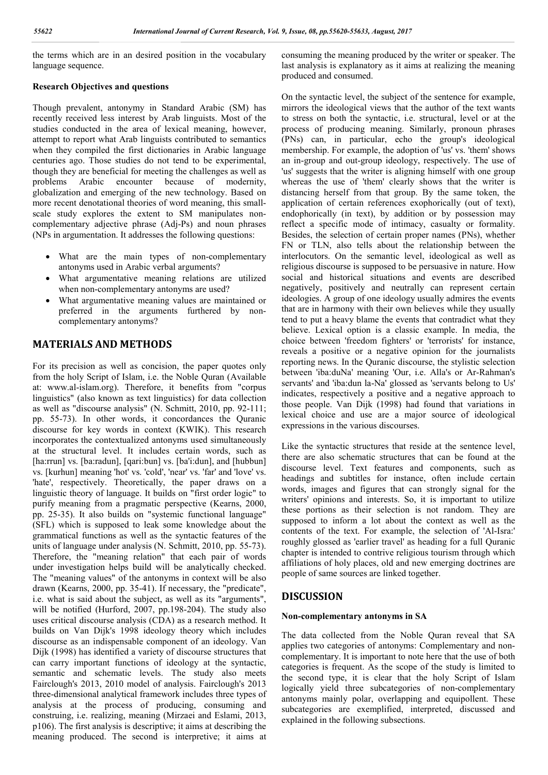the terms which are in an desired position in the vocabulary language sequence.

### **Research Objectives and questions**

Though prevalent, antonymy in Standard Arabic (SM) has recently received less interest by Arab linguists. Most of the studies conducted in the area of lexical meaning, however, attempt to report what Arab linguists contributed to semantics when they compiled the first dictionaries in Arabic language centuries ago. Those studies do not tend to be experimental, though they are beneficial for meeting the challenges as well as problems Arabic encounter because of modernity, globalization and emerging of the new technology. Based on more recent denotational theories of word meaning, this smallscale study explores the extent to SM manipulates noncomplementary adjective phrase (Adj-Ps) and noun phrases (NPs in argumentation. It addresses the following questions:

- What are the main types of non-complementary antonyms used in Arabic verbal arguments?
- What argumentative meaning relations are utilized when non-complementary antonyms are used?
- What argumentative meaning values are maintained or preferred in the arguments furthered by noncomplementary antonyms?

### **MATERIALS AND METHODS**

For its precision as well as concision, the paper quotes only from the holy Script of Islam, i.e. the Noble Quran (Available at: www.al-islam.org). Therefore, it benefits from "corpus linguistics" (also known as text linguistics) for data collection as well as "discourse analysis" (N. Schmitt, 2010, pp. 92-111; pp. 55-73). In other words, it concordances the Quranic discourse for key words in context (KWIK). This research incorporates the contextualized antonyms used simultaneously at the structural level. It includes certain words, such as [ha:rrun] vs. [ba:radun], [qari:bun] vs. [ba'i:dun], and [hubbun] vs. [kurhun] meaning 'hot' vs. 'cold', 'near' vs. 'far' and 'love' vs. 'hate', respectively. Theoretically, the paper draws on a linguistic theory of language. It builds on "first order logic" to purify meaning from a pragmatic perspective (Kearns, 2000, pp. 25-35). It also builds on "systemic functional language" (SFL) which is supposed to leak some knowledge about the grammatical functions as well as the syntactic features of the units of language under analysis (N. Schmitt, 2010, pp. 55-73). Therefore, the "meaning relation" that each pair of words under investigation helps build will be analytically checked. The "meaning values" of the antonyms in context will be also drawn (Kearns, 2000, pp. 35-41). If necessary, the "predicate", i.e. what is said about the subject, as well as its "arguments", will be notified (Hurford, 2007, pp.198-204). The study also uses critical discourse analysis (CDA) as a research method. It builds on Van Dijk's 1998 ideology theory which includes discourse as an indispensable component of an ideology. Van Dijk (1998) has identified a variety of discourse structures that can carry important functions of ideology at the syntactic, semantic and schematic levels. The study also meets Fairclough's 2013, 2010 model of analysis. Fairclough's 2013 three-dimensional analytical framework includes three types of analysis at the process of producing, consuming and construing, i.e. realizing, meaning (Mirzaei and Eslami, 2013, p106). The first analysis is descriptive; it aims at describing the meaning produced. The second is interpretive; it aims at consuming the meaning produced by the writer or speaker. The last analysis is explanatory as it aims at realizing the meaning produced and consumed.

On the syntactic level, the subject of the sentence for example, mirrors the ideological views that the author of the text wants to stress on both the syntactic, i.e. structural, level or at the process of producing meaning. Similarly, pronoun phrases (PNs) can, in particular, echo the group's ideological membership. For example, the adoption of 'us' vs. 'them' shows an in-group and out-group ideology, respectively. The use of 'us' suggests that the writer is aligning himself with one group whereas the use of 'them' clearly shows that the writer is distancing herself from that group. By the same token, the application of certain references exophorically (out of text), endophorically (in text), by addition or by possession may reflect a specific mode of intimacy, casualty or formality. Besides, the selection of certain proper names (PNs), whether FN or TLN, also tells about the relationship between the interlocutors. On the semantic level, ideological as well as religious discourse is supposed to be persuasive in nature. How social and historical situations and events are described negatively, positively and neutrally can represent certain ideologies. A group of one ideology usually admires the events that are in harmony with their own believes while they usually tend to put a heavy blame the events that contradict what they believe. Lexical option is a classic example. In media, the choice between 'freedom fighters' or 'terrorists' for instance, reveals a positive or a negative opinion for the journalists reporting news. In the Quranic discourse, the stylistic selection between 'iba:duNa' meaning 'Our, i.e. Alla's or Ar-Rahman's servants' and 'iba:dun la-Na' glossed as 'servants belong to Us' indicates, respectively a positive and a negative approach to those people. Van Dijk (1998) had found that variations in lexical choice and use are a major source of ideological expressions in the various discourses.

Like the syntactic structures that reside at the sentence level, there are also schematic structures that can be found at the discourse level. Text features and components, such as headings and subtitles for instance, often include certain words, images and figures that can strongly signal for the writers' opinions and interests. So, it is important to utilize these portions as their selection is not random. They are supposed to inform a lot about the context as well as the contents of the text. For example, the selection of 'Al-Isra:' roughly glossed as 'earlier travel' as heading for a full Quranic chapter is intended to contrive religious tourism through which affiliations of holy places, old and new emerging doctrines are people of same sources are linked together.

### **DISCUSSION**

#### **Non-complementary antonyms in SA**

The data collected from the Noble Quran reveal that SA applies two categories of antonyms: Complementary and noncomplementary. It is important to note here that the use of both categories is frequent. As the scope of the study is limited to the second type, it is clear that the holy Script of Islam logically yield three subcategories of non-complementary antonyms mainly polar, overlapping and equipollent. These subcategories are exemplified, interpreted, discussed and explained in the following subsections.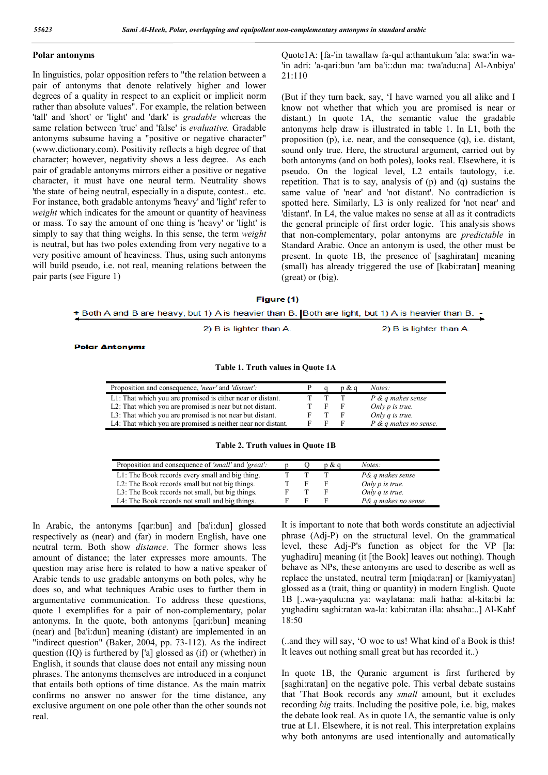#### **Polar antonyms**

In linguistics, polar opposition refers to "the relation between a pair of antonyms that denote relatively higher and lower degrees of a quality in respect to an explicit or implicit norm rather than absolute values". For example, the relation between 'tall' and 'short' or 'light' and 'dark' is *gradable* whereas the same relation between 'true' and 'false' is *evaluative.* Gradable antonyms subsume having a "positive or negative character" (www.dictionary.com). Positivity reflects a high degree of that character; however, negativity shows a less degree. As each pair of gradable antonyms mirrors either a positive or negative character, it must have one neural term. Neutrality shows 'the state of being neutral, especially in a dispute, contest.. etc. For instance, both gradable antonyms 'heavy' and 'light' refer to *weight* which indicates for the amount or quantity of heaviness or mass. To say the amount of one thing is 'heavy' or 'light' is simply to say that thing weighs. In this sense, the term *weight*  is neutral, but has two poles extending from very negative to a very positive amount of heaviness. Thus, using such antonyms will build pseudo, i.e. not real, meaning relations between the pair parts (see Figure 1)

Quote1A: [fa-'in tawallaw fa-qul a:thantukum 'ala: swa:'in wa- 'in adri: 'a-qari:bun 'am ba'i::dun ma: twa'adu:na] Al-Anbiya' 21:110

(But if they turn back, say, 'I have warned you all alike and I know not whether that which you are promised is near or distant.) In quote 1A, the semantic value the gradable antonyms help draw is illustrated in table 1. In L1, both the proposition (p), i.e. near, and the consequence (q), i.e. distant, sound only true. Here, the structural argument, carried out by both antonyms (and on both poles), looks real. Elsewhere, it is pseudo. On the logical level, L2 entails tautology, i.e. repetition. That is to say, analysis of (p) and (q) sustains the same value of 'near' and 'not distant'. No contradiction is spotted here. Similarly, L3 is only realized for 'not near' and 'distant'. In L4, the value makes no sense at all as it contradicts the general principle of first order logic. This analysis shows that non-complementary, polar antonyms are *predictable* in Standard Arabic. Once an antonym is used, the other must be present. In quote 1B, the presence of [saghiratan] meaning (small) has already triggered the use of [kabi:ratan] meaning (great) or (big).

#### Figure (1)

Both A and B are heavy, but 1) A is heavier than B. Both are light, but 1) A is heavier than B.

2) B is lighter than A.

2) B is lighter than A.

**Polar Antonyms** 

#### **Table 1. Truth values in Quote 1A**

| Proposition and consequence, <i>'near'</i> and <i>'distant'</i> : |   | p & a | Notes:                  |
|-------------------------------------------------------------------|---|-------|-------------------------|
| L1: That which you are promised is either near or distant.        |   |       | P & q makes sense       |
| L2: That which you are promised is near but not distant.          | ь |       | Only $p$ is true.       |
| L3: That which you are promised is not near but distant.          |   |       | Only q is true.         |
| L4: That which you are promised is neither near nor distant.      |   |       | $P$ & q makes no sense. |

**Table 2. Truth values in Quote 1B**

| Proposition and consequence of <i>'small'</i> and <i>'great'</i> : |   | p & d | Notes:               |
|--------------------------------------------------------------------|---|-------|----------------------|
| L1: The Book records every small and big thing.                    |   |       | P& q makes sense     |
| L2: The Book records small but not big things.                     | Е |       | Only $p$ is true.    |
| L3: The Book records not small, but big things.                    |   |       | Only $q$ is true.    |
| L4: The Book records not small and big things.                     |   |       | P& q makes no sense. |

In Arabic, the antonyms [qar:bun] and [ba'i:dun] glossed respectively as (near) and (far) in modern English, have one neutral term. Both show *distance.* The former shows less amount of distance; the later expresses more amounts. The question may arise here is related to how a native speaker of Arabic tends to use gradable antonyms on both poles, why he does so, and what techniques Arabic uses to further them in argumentative communication. To address these questions, quote 1 exemplifies for a pair of non-complementary, polar antonyms. In the quote, both antonyms [qari:bun] meaning (near) and [ba'i:dun] meaning (distant) are implemented in an "indirect question" (Baker, 2004, pp. 73-112). As the indirect question (IQ) is furthered by ['a] glossed as (if) or (whether) in English, it sounds that clause does not entail any missing noun phrases. The antonyms themselves are introduced in a conjunct that entails both options of time distance. As the main matrix confirms no answer no answer for the time distance, any exclusive argument on one pole other than the other sounds not real.

It is important to note that both words constitute an adjectivial phrase (Adj-P) on the structural level. On the grammatical level, these Adj-P's function as object for the VP [la: yughadiru] meaning (it [the Book] leaves out nothing). Though behave as NPs, these antonyms are used to describe as well as replace the unstated, neutral term [miqda:ran] or [kamiyyatan] glossed as a (trait, thing or quantity) in modern English. Quote 1B [..wa-yaqulu:na ya: waylatana: mali hatha: al-kita:bi la: yughadiru saghi:ratan wa-la: kabi:ratan illa: ahsaha:..] Al-Kahf 18:50

(..and they will say, 'O woe to us! What kind of a Book is this! It leaves out nothing small great but has recorded it..)

In quote 1B, the Quranic argument is first furthered by [saghi:ratan] on the negative pole. This verbal debate sustains that 'That Book records any *small* amount, but it excludes recording *big* traits. Including the positive pole, i.e. big, makes the debate look real. As in quote 1A, the semantic value is only true at L1. Elsewhere, it is not real. This interpretation explains why both antonyms are used intentionally and automatically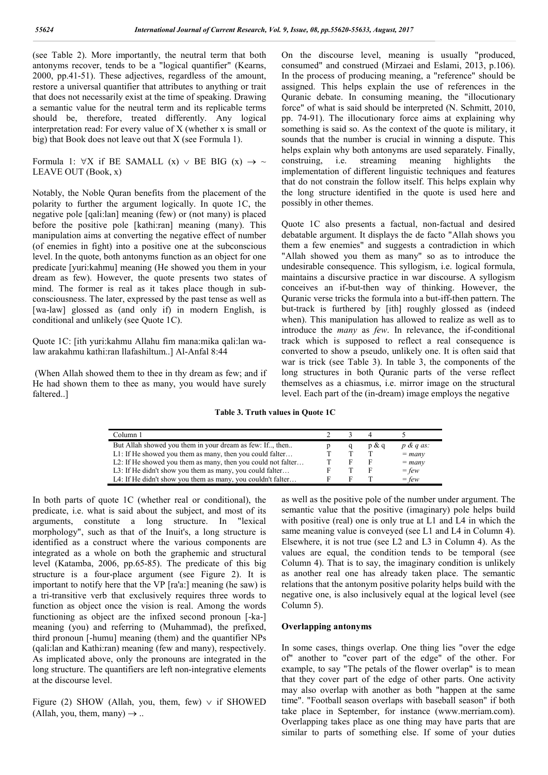(see Table 2). More importantly, the neutral term that both antonyms recover, tends to be a "logical quantifier" (Kearns, 2000, pp.41-51). These adjectives, regardless of the amount, restore a universal quantifier that attributes to anything or trait that does not necessarily exist at the time of speaking. Drawing a semantic value for the neutral term and its replicable terms should be, therefore, treated differently. Any logical interpretation read: For every value of X (whether x is small or big) that Book does not leave out that X (see Formula 1).

Formula 1:  $\forall X$  if BE SAMALL (x)  $\vee$  BE BIG (x)  $\rightarrow \sim$ LEAVE OUT (Book, x)

Notably, the Noble Quran benefits from the placement of the polarity to further the argument logically. In quote 1C, the negative pole [qali:lan] meaning (few) or (not many) is placed before the positive pole [kathi:ran] meaning (many). This manipulation aims at converting the negative effect of number (of enemies in fight) into a positive one at the subconscious level. In the quote, both antonyms function as an object for one predicate [yuri:kahmu] meaning (He showed you them in your dream as few). However, the quote presents two states of mind. The former is real as it takes place though in subconsciousness. The later, expressed by the past tense as well as [wa-law] glossed as (and only if) in modern English, is conditional and unlikely (see Quote 1C).

Quote 1C: [ith yuri:kahmu Allahu fim mana:mika qali:lan walaw arakahmu kathi:ran llafashiltum..] Al-Anfal 8:44

(When Allah showed them to thee in thy dream as few; and if He had shown them to thee as many, you would have surely faltered..]

On the discourse level, meaning is usually "produced, consumed" and construed (Mirzaei and Eslami, 2013, p.106). In the process of producing meaning, a "reference" should be assigned. This helps explain the use of references in the Quranic debate. In consuming meaning, the "illocutionary force" of what is said should be interpreted (N. Schmitt, 2010, pp. 74-91). The illocutionary force aims at explaining why something is said so. As the context of the quote is military, it sounds that the number is crucial in winning a dispute. This helps explain why both antonyms are used separately. Finally, construing, i.e. streaming meaning highlights the implementation of different linguistic techniques and features that do not constrain the follow itself. This helps explain why the long structure identified in the quote is used here and possibly in other themes.

Quote 1C also presents a factual, non-factual and desired debatable argument. It displays the de facto "Allah shows you them a few enemies" and suggests a contradiction in which "Allah showed you them as many" so as to introduce the undesirable consequence. This syllogism, i.e. logical formula, maintains a discursive practice in war discourse. A syllogism conceives an if-but-then way of thinking. However, the Quranic verse tricks the formula into a but-iff-then pattern. The but-track is furthered by [ith] roughly glossed as (indeed when). This manipulation has allowed to realize as well as to introduce the *many* as *few*. In relevance, the if-conditional track which is supposed to reflect a real consequence is converted to show a pseudo, unlikely one. It is often said that war is trick (see Table 3). In table 3, the components of the long structures in both Quranic parts of the verse reflect themselves as a chiasmus, i.e. mirror image on the structural level. Each part of the (in-dream) image employs the negative

**Table 3. Truth values in Quote 1C**

| Column 1                                                     |  |       |                      |
|--------------------------------------------------------------|--|-------|----------------------|
| But Allah showed you them in your dream as few: If, then     |  | p & a | $p \& q \text{ as:}$ |
| L1: If He showed you them as many, then you could falter     |  |       | $=$ many             |
| L2: If He showed you them as many, then you could not falter |  |       | $=$ many             |
| L3: If He didn't show you them as many, you could falter     |  |       | $=$ few              |
| L4: If He didn't show you them as many, you couldn't falter  |  |       | $=$ few              |

In both parts of quote 1C (whether real or conditional), the predicate, i.e. what is said about the subject, and most of its arguments, constitute a long structure. In "lexical morphology", such as that of the Inuit's, a long structure is identified as a construct where the various components are integrated as a whole on both the graphemic and structural level (Katamba, 2006, pp.65-85). The predicate of this big structure is a four-place argument (see Figure 2). It is important to notify here that the VP [ra'a:] meaning (he saw) is a tri-transitive verb that exclusively requires three words to function as object once the vision is real. Among the words functioning as object are the infixed second pronoun [-ka-] meaning (you) and referring to (Muhammad), the prefixed, third pronoun [-humu] meaning (them) and the quantifier NPs (qali:lan and Kathi:ran) meaning (few and many), respectively. As implicated above, only the pronouns are integrated in the long structure. The quantifiers are left non-integrative elements at the discourse level.

Figure (2) SHOW (Allah, you, them, few)  $\vee$  if SHOWED (Allah, you, them, many)  $\rightarrow$  ...

as well as the positive pole of the number under argument. The semantic value that the positive (imaginary) pole helps build with positive (real) one is only true at L1 and L4 in which the same meaning value is conveyed (see L1 and L4 in Column 4). Elsewhere, it is not true (see L2 and L3 in Column 4). As the values are equal, the condition tends to be temporal (see Column 4). That is to say, the imaginary condition is unlikely as another real one has already taken place. The semantic relations that the antonym positive polarity helps build with the negative one, is also inclusively equal at the logical level (see Column 5).

#### **Overlapping antonyms**

In some cases, things overlap. One thing lies "over the edge of" another to "cover part of the edge" of the other. For example, to say "The petals of the flower overlap" is to mean that they cover part of the edge of other parts. One activity may also overlap with another as both "happen at the same time". "Football season overlaps with baseball season" if both take place in September, for instance (www.merriam.com). Overlapping takes place as one thing may have parts that are similar to parts of something else. If some of your duties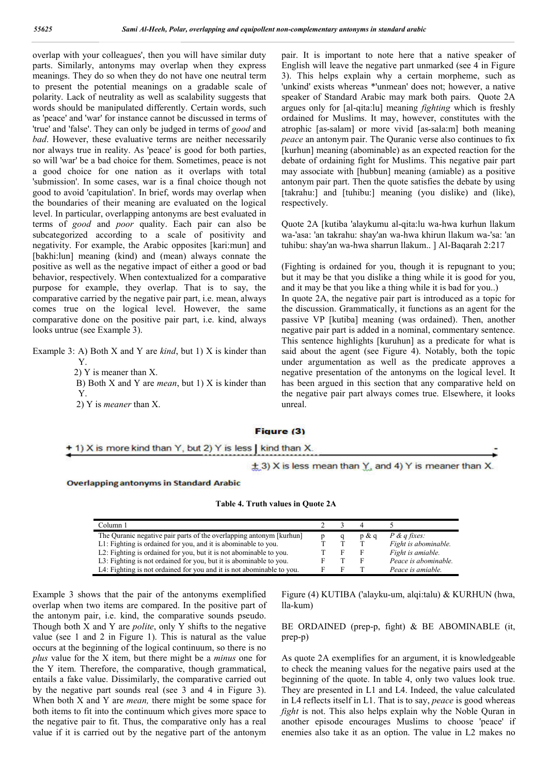overlap with your colleagues', then you will have similar duty parts. Similarly, antonyms may overlap when they express meanings. They do so when they do not have one neutral term to present the potential meanings on a gradable scale of polarity. Lack of neutrality as well as scalability suggests that words should be manipulated differently. Certain words, such as 'peace' and 'war' for instance cannot be discussed in terms of 'true' and 'false'. They can only be judged in terms of *good* and *bad*. However, these evaluative terms are neither necessarily nor always true in reality. As 'peace' is good for both parties, so will 'war' be a bad choice for them. Sometimes, peace is not a good choice for one nation as it overlaps with total 'submission'. In some cases, war is a final choice though not good to avoid 'capitulation'. In brief, words may overlap when the boundaries of their meaning are evaluated on the logical level. In particular, overlapping antonyms are best evaluated in terms of *good* and *poor* quality. Each pair can also be subcategorized according to a scale of positivity and negativity. For example, the Arabic opposites [kari:mun] and [bakhi:lun] meaning (kind) and (mean) always connate the positive as well as the negative impact of either a good or bad behavior, respectively. When contextualized for a comparative purpose for example, they overlap. That is to say, the comparative carried by the negative pair part, i.e. mean, always comes true on the logical level. However, the same comparative done on the positive pair part, i.e. kind, always looks untrue (see Example 3).

Example 3: A) Both X and Y are *kind*, but 1) X is kinder than Y.

2) Y is meaner than X.

 B) Both X and Y are *mean*, but 1) X is kinder than Y.

2) Y is *meaner* than X.

pair. It is important to note here that a native speaker of English will leave the negative part unmarked (see 4 in Figure 3). This helps explain why a certain morpheme, such as 'unkind' exists whereas \*'unmean' does not; however, a native speaker of Standard Arabic may mark both pairs. Quote 2A argues only for [al-qita:lu] meaning *fighting* which is freshly ordained for Muslims. It may, however, constitutes with the atrophic [as-salam] or more vivid [as-sala:m] both meaning *peace* an antonym pair. The Quranic verse also continues to fix [kurhun] meaning (abominable) as an expected reaction for the debate of ordaining fight for Muslims. This negative pair part may associate with [hubbun] meaning (amiable) as a positive antonym pair part. Then the quote satisfies the debate by using [takrahu:] and [tuhibu:] meaning (you dislike) and (like), respectively.

Quote 2A [kutiba 'alaykumu al-qita:lu wa-hwa kurhun llakum wa-'asa: 'an takrahu: shay'an wa-hwa khirun llakum wa-'sa: 'an tuhibu: shay'an wa-hwa sharrun llakum.. ] Al-Baqarah 2:217

(Fighting is ordained for you, though it is repugnant to you; but it may be that you dislike a thing while it is good for you, and it may be that you like a thing while it is bad for you..) In quote 2A, the negative pair part is introduced as a topic for the discussion. Grammatically, it functions as an agent for the passive VP [kutiba] meaning (was ordained). Then, another negative pair part is added in a nominal, commentary sentence. This sentence highlights [kuruhun] as a predicate for what is said about the agent (see Figure 4). Notably, both the topic under argumentation as well as the predicate approves a negative presentation of the antonyms on the logical level. It has been argued in this section that any comparative held on the negative pair part always comes true. Elsewhere, it looks unreal.

#### **Figure (3)**

### + 1) X is more kind than Y, but 2) Y is less | kind than X.

 $\pm$  3) X is less mean than  $\frac{y}{x}$  and 4) Y is meaner than X.

**Overlapping antonyms in Standard Arabic** 

| Table 4. Truth values in Quote 2A |  |  |  |  |  |
|-----------------------------------|--|--|--|--|--|
|-----------------------------------|--|--|--|--|--|

| Column 1                                                              |  |          |                         |
|-----------------------------------------------------------------------|--|----------|-------------------------|
| The Quranic negative pair parts of the overlapping antonym [kurhun]   |  | $p \& c$ | $P \& q \text{ fixes:}$ |
| L1: Fighting is ordained for you, and it is abominable to you.        |  |          | Fight is abominable.    |
| L2: Fighting is ordained for you, but it is not abominable to you.    |  |          | Fight is amiable.       |
| L3: Fighting is not ordained for you, but it is abominable to you.    |  |          | Peace is abominable.    |
| L4: Fighting is not ordained for you and it is not abominable to you. |  |          | Peace is amiable.       |

Example 3 shows that the pair of the antonyms exemplified overlap when two items are compared. In the positive part of the antonym pair, i.e. kind, the comparative sounds pseudo. Though both X and Y are *polite*, only Y shifts to the negative value (see 1 and 2 in Figure 1). This is natural as the value occurs at the beginning of the logical continuum, so there is no *plus* value for the X item, but there might be a *minus* one for the Y item. Therefore, the comparative, though grammatical, entails a fake value. Dissimilarly, the comparative carried out by the negative part sounds real (see 3 and 4 in Figure 3). When both X and Y are *mean,* there might be some space for both items to fit into the continuum which gives more space to the negative pair to fit. Thus, the comparative only has a real value if it is carried out by the negative part of the antonym

Figure (4) KUTIBA ('alayku-um, alqi:talu) & KURHUN (hwa, lla-kum)

#### BE ORDAINED (prep-p, fight) & BE ABOMINABLE (it, prep-p)

As quote 2A exemplifies for an argument, it is knowledgeable to check the meaning values for the negative pairs used at the beginning of the quote. In table 4, only two values look true. They are presented in L1 and L4. Indeed, the value calculated in L4 reflects itself in L1. That is to say, *peace* is good whereas *fight* is not. This also helps explain why the Noble Quran in another episode encourages Muslims to choose 'peace' if enemies also take it as an option. The value in L2 makes no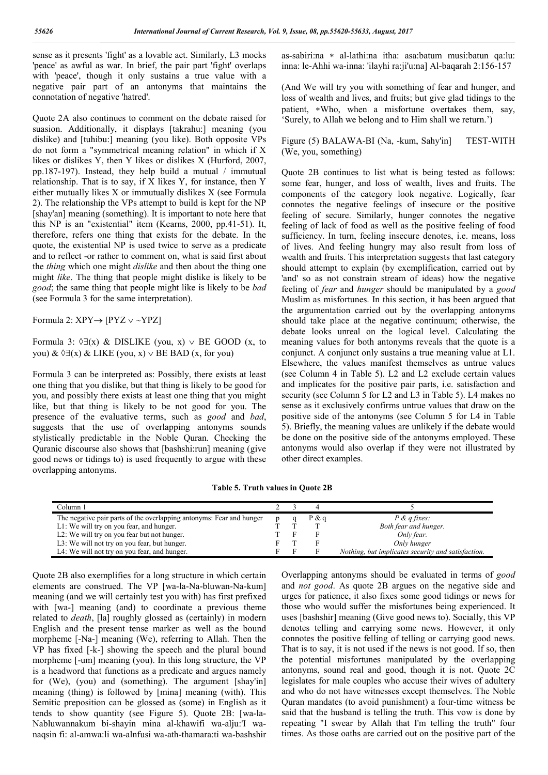sense as it presents 'fight' as a lovable act. Similarly, L3 mocks 'peace' as awful as war. In brief, the pair part 'fight' overlaps with 'peace', though it only sustains a true value with a negative pair part of an antonyms that maintains the connotation of negative 'hatred'.

Quote 2A also continues to comment on the debate raised for suasion. Additionally, it displays [takrahu:] meaning (you dislike) and [tuhibu:] meaning (you like). Both opposite VPs do not form a "symmetrical meaning relation" in which if X likes or dislikes Y, then Y likes or dislikes X (Hurford, 2007, pp.187-197). Instead, they help build a mutual / immutual relationship. That is to say, if X likes Y, for instance, then Y either mutually likes X or immutually dislikes X (see Formula 2). The relationship the VPs attempt to build is kept for the NP [shay'an] meaning (something). It is important to note here that this NP is an "existential" item (Kearns, 2000, pp.41-51). It, therefore, refers one thing that exists for the debate. In the quote, the existential NP is used twice to serve as a predicate and to reflect -or rather to comment on, what is said first about the *thing* which one might *dislike* and then about the thing one might *like*. The thing that people might dislike is likely to be *good*; the same thing that people might like is likely to be *bad* (see Formula 3 for the same interpretation).

Formula 2:  $XPY \rightarrow [PYZ \vee \sim YPZ]$ 

Formula 3:  $\Diamond \exists (x) \& \text{DISLIKE (you, x)} \lor \text{BE GOOD (x, to)}$ you) &  $\Diamond \exists (x)$  & LIKE (you, x)  $\lor$  BE BAD (x, for you)

Formula 3 can be interpreted as: Possibly, there exists at least one thing that you dislike, but that thing is likely to be good for you, and possibly there exists at least one thing that you might like, but that thing is likely to be not good for you. The presence of the evaluative terms, such as *good* and *bad*, suggests that the use of overlapping antonyms sounds stylistically predictable in the Noble Quran. Checking the Quranic discourse also shows that [bashshi:run] meaning (give good news or tidings to) is used frequently to argue with these overlapping antonyms.

as-sabiri:na \* al-lathi:na itha: asa:batum musi:batun qa:lu: inna: le-Ahhi wa-inna: 'ilayhi ra:ji'u:na] Al-baqarah 2:156-157

(And We will try you with something of fear and hunger, and loss of wealth and lives, and fruits; but give glad tidings to the patient, Who, when a misfortune overtakes them, say, 'Surely, to Allah we belong and to Him shall we return.')

Figure (5) BALAWA-BI (Na, -kum, Sahy'in] TEST-WITH (We, you, something)

Quote 2B continues to list what is being tested as follows: some fear, hunger, and loss of wealth, lives and fruits. The components of the category look negative. Logically, fear connotes the negative feelings of insecure or the positive feeling of secure. Similarly, hunger connotes the negative feeling of lack of food as well as the positive feeling of food sufficiency. In turn, feeling insecure denotes, i.e. means, loss of lives. And feeling hungry may also result from loss of wealth and fruits. This interpretation suggests that last category should attempt to explain (by exemplification, carried out by 'and' so as not constrain stream of ideas) how the negative feeling of *fear* and *hunger* should be manipulated by a *good* Muslim as misfortunes. In this section, it has been argued that the argumentation carried out by the overlapping antonyms should take place at the negative continuum; otherwise, the debate looks unreal on the logical level. Calculating the meaning values for both antonyms reveals that the quote is a conjunct. A conjunct only sustains a true meaning value at L1. Elsewhere, the values manifest themselves as untrue values (see Column 4 in Table 5). L2 and L2 exclude certain values and implicates for the positive pair parts, i.e. satisfaction and security (see Column 5 for L2 and L3 in Table 5). L4 makes no sense as it exclusively confirms untrue values that draw on the positive side of the antonyms (see Column 5 for L4 in Table 5). Briefly, the meaning values are unlikely if the debate would be done on the positive side of the antonyms employed. These antonyms would also overlap if they were not illustrated by other direct examples.

**Table 5. Truth values in Quote 2B**

| Column 1                                                             |  |         |                                                    |
|----------------------------------------------------------------------|--|---------|----------------------------------------------------|
| The negative pair parts of the overlapping antonyms: Fear and hunger |  | $P$ & q | $P$ & <i>a</i> fixes:                              |
| L1: We will try on you fear, and hunger.                             |  |         | Both fear and hunger.                              |
| L2: We will try on you fear but not hunger.                          |  |         | Only fear.                                         |
| L3: We will not try on you fear, but hunger.                         |  |         | Only hunger                                        |
| L4: We will not try on you fear, and hunger.                         |  |         | Nothing, but implicates security and satisfaction. |

Quote 2B also exemplifies for a long structure in which certain elements are construed. The VP [wa-la-Na-bluwan-Na-kum] meaning (and we will certainly test you with) has first prefixed with [wa-] meaning (and) to coordinate a previous theme related to *death*, [la] roughly glossed as (certainly) in modern English and the present tense marker as well as the bound morpheme [-Na-] meaning (We), referring to Allah. Then the VP has fixed [-k-] showing the speech and the plural bound morpheme [-um] meaning (you). In this long structure, the VP is a headword that functions as a predicate and argues namely for (We), (you) and (something). The argument [shay'in] meaning (thing) is followed by [mina] meaning (with). This Semitic preposition can be glossed as (some) in English as it tends to show quantity (see Figure 5). Quote 2B: [wa-la-Nabluwannakum bi-shayin mina al-khawifi wa-alju:'I wanaqsin fi: al-amwa:li wa-alnfusi wa-ath-thamara:ti wa-bashshir

Overlapping antonyms should be evaluated in terms of *good* and *not good*. As quote 2B argues on the negative side and urges for patience, it also fixes some good tidings or news for those who would suffer the misfortunes being experienced. It uses [bashshir] meaning (Give good news to). Socially, this VP denotes telling and carrying some news. However, it only connotes the positive felling of telling or carrying good news. That is to say, it is not used if the news is not good. If so, then the potential misfortunes manipulated by the overlapping antonyms, sound real and good, though it is not. Quote 2C legislates for male couples who accuse their wives of adultery and who do not have witnesses except themselves. The Noble Quran mandates (to avoid punishment) a four-time witness be said that the husband is telling the truth. This vow is done by repeating "I swear by Allah that I'm telling the truth" four times. As those oaths are carried out on the positive part of the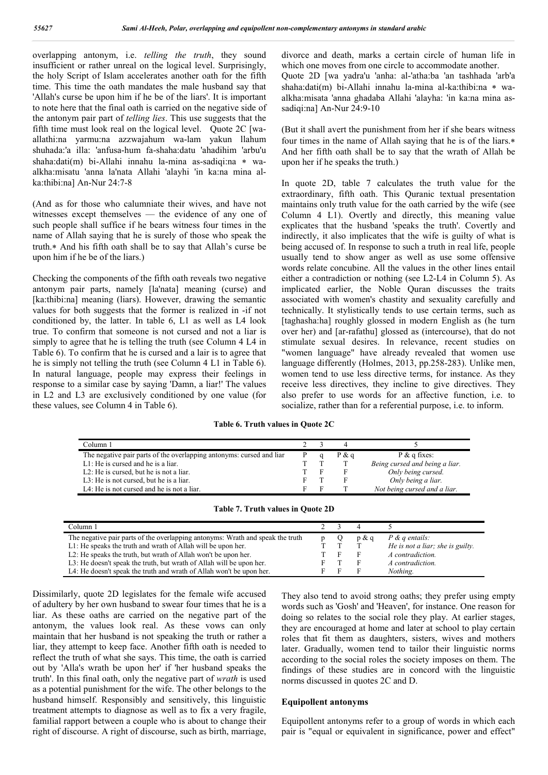overlapping antonym, i.e. *telling the truth*, they sound insufficient or rather unreal on the logical level. Surprisingly, the holy Script of Islam accelerates another oath for the fifth time. This time the oath mandates the male husband say that 'Allah's curse be upon him if he be of the liars'. It is important to note here that the final oath is carried on the negative side of the antonym pair part of *telling lies*. This use suggests that the fifth time must look real on the logical level. Quote 2C [waallathi:na yarmu:na azzwajahum wa-lam yakun llahum shuhada:'a illa: 'anfusa-hum fa-shaha:datu 'ahadihim 'arbu'u shaha:dati(m) bi-Allahi innahu la-mina as-sadiqi:na \* waalkha:misatu 'anna la'nata Allahi 'alayhi 'in ka:na mina alka:thibi:na] An-Nur 24:7-8

(And as for those who calumniate their wives, and have not witnesses except themselves — the evidence of any one of such people shall suffice if he bears witness four times in the name of Allah saying that he is surely of those who speak the truth.\* And his fifth oath shall be to say that Allah's curse be upon him if he be of the liars.)

Checking the components of the fifth oath reveals two negative antonym pair parts, namely [la'nata] meaning (curse) and [ka:thibi:na] meaning (liars). However, drawing the semantic values for both suggests that the former is realized in -if not conditioned by, the latter. In table 6, L1 as well as L4 look true. To confirm that someone is not cursed and not a liar is simply to agree that he is telling the truth (see Column 4 L4 in Table 6). To confirm that he is cursed and a lair is to agree that he is simply not telling the truth (see Column 4 L1 in Table 6). In natural language, people may express their feelings in response to a similar case by saying 'Damn, a liar!' The values in L2 and L3 are exclusively conditioned by one value (for these values, see Column 4 in Table 6).

divorce and death, marks a certain circle of human life in which one moves from one circle to accommodate another. Quote 2D [wa yadra'u 'anha: al-'atha:ba 'an tashhada 'arb'a shaha:dati(m) bi-Allahi innahu la-mina al-ka:thibi:na \* waalkha:misata 'anna ghadaba Allahi 'alayha: 'in ka:na mina assadiqi:na] An-Nur 24:9-10

(But it shall avert the punishment from her if she bears witness four times in the name of Allah saying that he is of the liars. And her fifth oath shall be to say that the wrath of Allah be upon her if he speaks the truth.)

In quote 2D, table 7 calculates the truth value for the extraordinary, fifth oath. This Quranic textual presentation maintains only truth value for the oath carried by the wife (see Column 4 L1). Overtly and directly, this meaning value explicates that the husband 'speaks the truth'. Covertly and indirectly, it also implicates that the wife is guilty of what is being accused of. In response to such a truth in real life, people usually tend to show anger as well as use some offensive words relate concubine. All the values in the other lines entail either a contradiction or nothing (see L2-L4 in Column 5). As implicated earlier, the Noble Quran discusses the traits associated with women's chastity and sexuality carefully and technically. It stylistically tends to use certain terms, such as [taghasha:ha] roughly glossed in modern English as (he turn over her) and [ar-rafathu] glossed as (intercourse), that do not stimulate sexual desires. In relevance, recent studies on "women language" have already revealed that women use language differently (Holmes, 2013, pp.258-283). Unlike men, women tend to use less directive terms, for instance. As they receive less directives, they incline to give directives. They also prefer to use words for an affective function, i.e. to socialize, rather than for a referential purpose, i.e. to inform.

**Table 6. Truth values in Quote 2C**

| Column 1                                                             |  |       |                                |
|----------------------------------------------------------------------|--|-------|--------------------------------|
| The negative pair parts of the overlapping antonyms: cursed and liar |  | P & a | $P \& q$ fixes:                |
| $L1$ : He is cursed and he is a liar.                                |  |       | Being cursed and being a liar. |
| L <sub>2</sub> : He is cursed, but he is not a liar.                 |  |       | Only being cursed.             |
| L3: He is not cursed, but he is a liar.                              |  |       | Only being a liar.             |
| L4: He is not cursed and he is not a liar.                           |  |       | Not being cursed and a liar.   |

|  |  |  | <b>Table 7. Truth values in Quote 2D</b> |  |  |  |
|--|--|--|------------------------------------------|--|--|--|
|--|--|--|------------------------------------------|--|--|--|

| Column 1                                                                       |  |       |                                  |
|--------------------------------------------------------------------------------|--|-------|----------------------------------|
| The negative pair parts of the overlapping antonyms: Wrath and speak the truth |  | p & a | $P \& q$ entails:                |
| L1: He speaks the truth and wrath of Allah will be upon her.                   |  |       | He is not a liar; she is guilty. |
| L2: He speaks the truth, but wrath of Allah won't be upon her.                 |  |       | A contradiction.                 |
| L3: He doesn't speak the truth, but wrath of Allah will be upon her.           |  |       | A contradiction.                 |
| L4: He doesn't speak the truth and wrath of Allah won't be upon her.           |  |       | Nothing.                         |

Dissimilarly, quote 2D legislates for the female wife accused of adultery by her own husband to swear four times that he is a liar. As these oaths are carried on the negative part of the antonym, the values look real. As these vows can only maintain that her husband is not speaking the truth or rather a liar, they attempt to keep face. Another fifth oath is needed to reflect the truth of what she says. This time, the oath is carried out by 'Alla's wrath be upon her' if 'her husband speaks the truth'. In this final oath, only the negative part of *wrath* is used as a potential punishment for the wife. The other belongs to the husband himself. Responsibly and sensitively, this linguistic treatment attempts to diagnose as well as to fix a very fragile, familial rapport between a couple who is about to change their right of discourse. A right of discourse, such as birth, marriage,

They also tend to avoid strong oaths; they prefer using empty words such as 'Gosh' and 'Heaven', for instance. One reason for doing so relates to the social role they play. At earlier stages, they are encouraged at home and later at school to play certain roles that fit them as daughters, sisters, wives and mothers later. Gradually, women tend to tailor their linguistic norms according to the social roles the society imposes on them. The findings of these studies are in concord with the linguistic norms discussed in quotes 2C and D.

#### **Equipollent antonyms**

Equipollent antonyms refer to a group of words in which each pair is "equal or equivalent in significance, power and effect"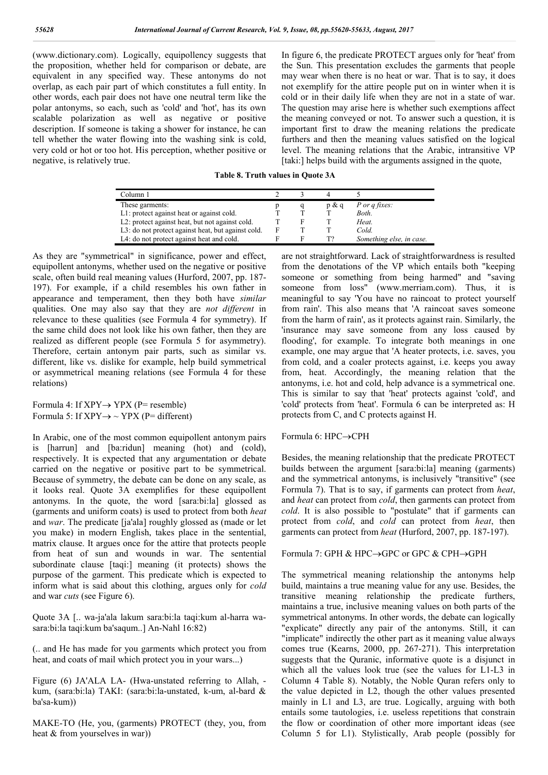(www.dictionary.com). Logically, equipollency suggests that the proposition, whether held for comparison or debate, are equivalent in any specified way. These antonyms do not overlap, as each pair part of which constitutes a full entity. In other words, each pair does not have one neutral term like the polar antonyms, so each, such as 'cold' and 'hot', has its own scalable polarization as well as negative or positive description. If someone is taking a shower for instance, he can tell whether the water flowing into the washing sink is cold, very cold or hot or too hot. His perception, whether positive or negative, is relatively true.

In figure 6, the predicate PROTECT argues only for 'heat' from the Sun. This presentation excludes the garments that people may wear when there is no heat or war. That is to say, it does not exemplify for the attire people put on in winter when it is cold or in their daily life when they are not in a state of war. The question may arise here is whether such exemptions affect the meaning conveyed or not. To answer such a question, it is important first to draw the meaning relations the predicate furthers and then the meaning values satisfied on the logical level. The meaning relations that the Arabic, intransitive VP [taki:] helps build with the arguments assigned in the quote,

**Table 8. Truth values in Quote 3A**

| Column 1                                                     |   |       |                          |
|--------------------------------------------------------------|---|-------|--------------------------|
| These garments:                                              |   | p & q | P or q fixes:            |
| L1: protect against heat or against cold.                    |   |       | Both.                    |
| L <sub>2</sub> : protect against heat, but not against cold. |   |       | Heat.                    |
| L3: do not protect against heat, but against cold.           | F |       | Cold.                    |
| L4: do not protect against heat and cold.                    |   | TУ    | Something else, in case. |

As they are "symmetrical" in significance, power and effect, equipollent antonyms, whether used on the negative or positive scale, often build real meaning values (Hurford, 2007, pp. 187- 197). For example, if a child resembles his own father in appearance and temperament, then they both have *similar* qualities. One may also say that they are *not different* in relevance to these qualities (see Formula 4 for symmetry). If the same child does not look like his own father, then they are realized as different people (see Formula 5 for asymmetry). Therefore, certain antonym pair parts, such as similar vs. different, like vs. dislike for example, help build symmetrical or asymmetrical meaning relations (see Formula 4 for these relations)

Formula 4: If  $XPY \rightarrow YPX$  (P= resemble) Formula 5: If  $XPY \rightarrow \sim YPX$  (P= different)

In Arabic, one of the most common equipollent antonym pairs is [harrun] and [ba:ridun] meaning (hot) and (cold), respectively. It is expected that any argumentation or debate carried on the negative or positive part to be symmetrical. Because of symmetry, the debate can be done on any scale, as it looks real. Quote 3A exemplifies for these equipollent antonyms. In the quote, the word [sara:bi:la] glossed as (garments and uniform coats) is used to protect from both *heat*  and *war*. The predicate [ja'ala] roughly glossed as (made or let you make) in modern English, takes place in the sentential, matrix clause. It argues once for the attire that protects people from heat of sun and wounds in war. The sentential subordinate clause [taqi:] meaning (it protects) shows the purpose of the garment. This predicate which is expected to inform what is said about this clothing, argues only for *cold* and war *cuts* (see Figure 6).

Quote 3A [.. wa-ja'ala lakum sara:bi:la taqi:kum al-harra wasara:bi:la taqi:kum ba'saqum..] An-Nahl 16:82)

(.. and He has made for you garments which protect you from heat, and coats of mail which protect you in your wars...)

Figure (6) JA'ALA LA- (Hwa-unstated referring to Allah, kum, (sara:bi:la) TAKI: (sara:bi:la-unstated, k-um, al-bard & ba'sa-kum))

MAKE-TO (He, you, (garments) PROTECT (they, you, from heat & from yourselves in war))

are not straightforward. Lack of straightforwardness is resulted from the denotations of the VP which entails both "keeping someone or something from being harmed" and "saving someone from loss" (www.merriam.com). Thus, it is meaningful to say 'You have no raincoat to protect yourself from rain'. This also means that 'A raincoat saves someone from the harm of rain', as it protects against rain. Similarly, the 'insurance may save someone from any loss caused by flooding', for example. To integrate both meanings in one example, one may argue that 'A heater protects, i.e. saves, you from cold, and a coaler protects against, i.e. keeps you away from, heat. Accordingly, the meaning relation that the antonyms, i.e. hot and cold, help advance is a symmetrical one. This is similar to say that 'heat' protects against 'cold', and 'cold' protects from 'heat'. Formula 6 can be interpreted as: H protects from C, and C protects against H.

#### Formula 6: HPC→CPH

Besides, the meaning relationship that the predicate PROTECT builds between the argument [sara:bi:la] meaning (garments) and the symmetrical antonyms, is inclusively "transitive" (see Formula 7). That is to say, if garments can protect from *heat*, and *heat* can protect from *cold*, then garments can protect from *cold*. It is also possible to "postulate" that if garments can protect from *cold*, and *cold* can protect from *heat*, then garments can protect from *heat* (Hurford, 2007, pp. 187-197).

Formula 7: GPH & HPC $\rightarrow$ GPC or GPC & CPH $\rightarrow$ GPH

The symmetrical meaning relationship the antonyms help build, maintains a true meaning value for any use. Besides, the transitive meaning relationship the predicate furthers, maintains a true, inclusive meaning values on both parts of the symmetrical antonyms. In other words, the debate can logically "explicate" directly any pair of the antonyms. Still, it can "implicate" indirectly the other part as it meaning value always comes true (Kearns, 2000, pp. 267-271). This interpretation suggests that the Quranic, informative quote is a disjunct in which all the values look true (see the values for L1-L3 in Column 4 Table 8). Notably, the Noble Quran refers only to the value depicted in L2, though the other values presented mainly in L1 and L3, are true. Logically, arguing with both entails some tautologies, i.e. useless repetitions that constrain the flow or coordination of other more important ideas (see Column 5 for L1). Stylistically, Arab people (possibly for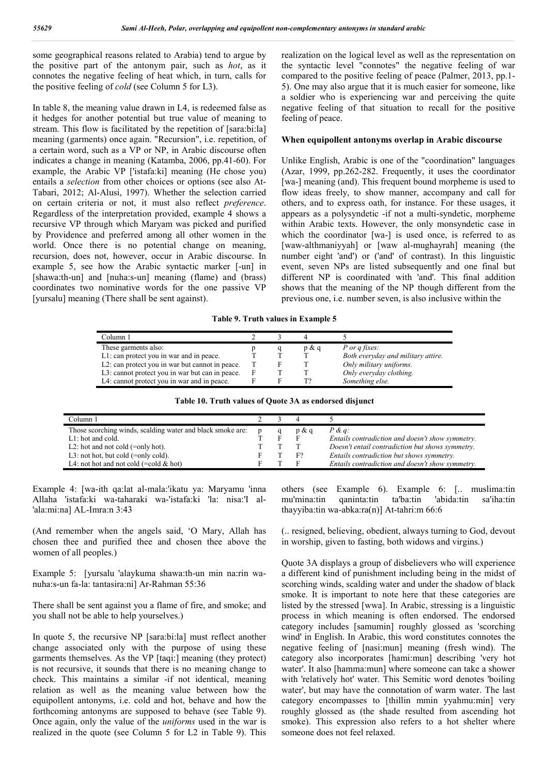some geographical reasons related to Arabia) tend to argue by the positive part of the antonym pair, such as *hot*, as it connotes the negative feeling of heat which, in turn, calls for the positive feeling of *cold* (see Column 5 for L3).

In table 8, the meaning value drawn in L4, is redeemed false as it hedges for another potential but true value of meaning to stream. This flow is facilitated by the repetition of [sara:bi:la] meaning (garments) once again. "Recursion", i.e. repetition, of a certain word, such as a VP or NP, in Arabic discourse often indicates a change in meaning (Katamba, 2006, pp.41-60). For example, the Arabic VP ['istafa:ki] meaning (He chose you) entails a *selection* from other choices or options (see also At-Tabari, 2012; Al-Alusi, 1997). Whether the selection carried on certain criteria or not, it must also reflect *preference*. Regardless of the interpretation provided, example 4 shows a recursive VP through which Maryam was picked and purified by Providence and preferred among all other women in the world. Once there is no potential change on meaning, recursion, does not, however, occur in Arabic discourse. In example 5, see how the Arabic syntactic marker [-un] in [shawa:th-un] and [nuha:s-un] meaning (flame) and (brass) coordinates two nominative words for the one passive VP [yursalu] meaning (There shall be sent against).

realization on the logical level as well as the representation on the syntactic level "connotes" the negative feeling of war compared to the positive feeling of peace (Palmer, 2013, pp.1- 5). One may also argue that it is much easier for someone, like a soldier who is experiencing war and perceiving the quite negative feeling of that situation to recall for the positive feeling of peace.

#### **When equipollent antonyms overlap in Arabic discourse**

Unlike English, Arabic is one of the "coordination" languages (Azar, 1999, pp.262-282. Frequently, it uses the coordinator [wa-] meaning (and). This frequent bound morpheme is used to flow ideas freely, to show manner, accompany and call for others, and to express oath, for instance. For these usages, it appears as a polysyndetic -if not a multi-syndetic, morpheme within Arabic texts. However, the only monsyndetic case in which the coordinator [wa-] is used once, is referred to as [waw-althmaniyyah] or [waw al-mughayrah] meaning (the number eight 'and') or ('and' of contrast). In this linguistic event, seven NPs are listed subsequently and one final but different NP is coordinated with 'and'. This final addition shows that the meaning of the NP though different from the previous one, i.e. number seven, is also inclusive within the

**Table 9. Truth values in Example 5**

| Column 1                                        |  |          |                                    |
|-------------------------------------------------|--|----------|------------------------------------|
| These garments also:                            |  | $p \& q$ | P or q fixes:                      |
| L1: can protect you in war and in peace.        |  |          | Both everyday and military attire. |
| L2: can protect you in war but cannot in peace. |  |          | Only military uniforms.            |
| L3: cannot protect you in war but can in peace. |  |          | Only everyday clothing.            |
| L4: cannot protect you in war and in peace.     |  |          | Something else.                    |

| Column 1                                                   |  |       |                                                  |
|------------------------------------------------------------|--|-------|--------------------------------------------------|
| Those scorching winds, scalding water and black smoke are: |  | p & q | $P \& q$ :                                       |
| $L1$ : hot and cold.                                       |  |       | Entails contradiction and doesn't show symmetry. |
| L2: hot and not cold $(=\text{only hot})$ .                |  |       | Doesn't entail contradiction but shows symmetry. |
| L3: not hot, but cold $(=\text{only cold})$ .              |  | F?    | Entails contradiction but shows symmetry.        |
| L4: not hot and not cold $(=\text{cold } & \text{hot})$    |  |       | Entails contradiction and doesn't show symmetry. |

Example 4: [wa-ith qa:lat al-mala:'ikatu ya: Maryamu 'inna Allaha 'istafa:ki wa-taharaki wa-'istafa:ki 'la: nisa:'I al- 'ala:mi:na] AL-Imra:n 3:43

(And remember when the angels said, 'O Mary, Allah has chosen thee and purified thee and chosen thee above the women of all peoples.)

Example 5: [yursalu 'alaykuma shawa:th-un min na:rin wanuha:s-un fa-la: tantasira:ni] Ar-Rahman 55:36

There shall be sent against you a flame of fire, and smoke; and you shall not be able to help yourselves.)

In quote 5, the recursive NP [sara:bi:la] must reflect another change associated only with the purpose of using these garments themselves. As the VP [taqi:] meaning (they protect) is not recursive, it sounds that there is no meaning change to check. This maintains a similar -if not identical, meaning relation as well as the meaning value between how the equipollent antonyms, i.e. cold and hot, behave and how the forthcoming antonyms are supposed to behave (see Table 9). Once again, only the value of the *uniforms* used in the war is realized in the quote (see Column 5 for L2 in Table 9). This

others (see Example 6). Example 6: [.. muslima:tin mu'mina:tin qaninta:tin ta'ba:tin 'abida:tin sa'iha:tin thayyiba:tin wa-abka:ra(n)] At-tahri:m 66:6

(.. resigned, believing, obedient, always turning to God, devout in worship, given to fasting, both widows and virgins.)

Quote 3A displays a group of disbelievers who will experience a different kind of punishment including being in the midst of scorching winds, scalding water and under the shadow of black smoke. It is important to note here that these categories are listed by the stressed [wwa]. In Arabic, stressing is a linguistic process in which meaning is often endorsed. The endorsed category includes [samumin] roughly glossed as 'scorching wind' in English. In Arabic, this word constitutes connotes the negative feeling of [nasi:mun] meaning (fresh wind). The category also incorporates [hami:mun] describing 'very hot water'. It also [hamma:mun] where someone can take a shower with 'relatively hot' water. This Semitic word denotes 'boiling water', but may have the connotation of warm water. The last category encompasses to [thillin mmin yyahmu:min] very roughly glossed as (the shade resulted from ascending hot smoke). This expression also refers to a hot shelter where someone does not feel relaxed.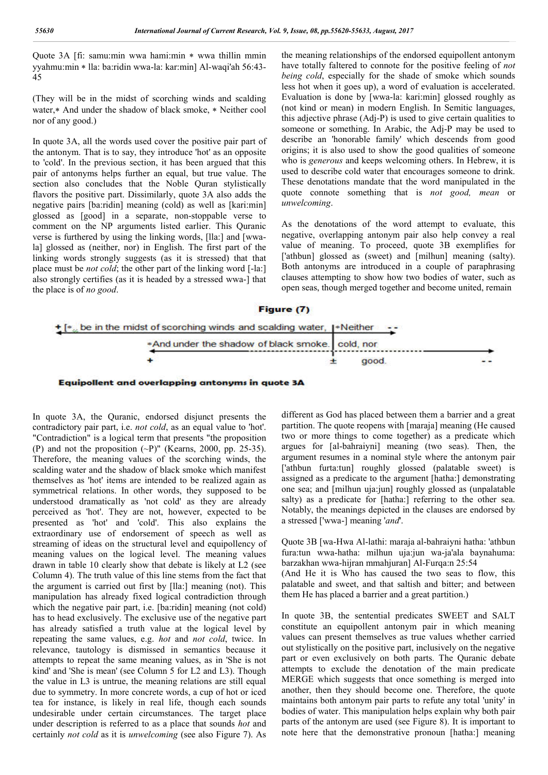Quote 3A [fi: samu:min wwa hami:min \* wwa thillin mmin yyahmu:min \* lla: ba:ridin wwa-la: kar:min] Al-waqi'ah 56:43-45

(They will be in the midst of scorching winds and scalding water,  $*$  And under the shadow of black smoke,  $*$  Neither cool nor of any good.)

In quote 3A, all the words used cover the positive pair part of the antonym. That is to say, they introduce 'hot' as an opposite to 'cold'. In the previous section, it has been argued that this pair of antonyms helps further an equal, but true value. The section also concludes that the Noble Quran stylistically flavors the positive part. Dissimilarly, quote 3A also adds the negative pairs [ba:ridin] meaning (cold) as well as [kari:min] glossed as [good] in a separate, non-stoppable verse to comment on the NP arguments listed earlier. This Quranic verse is furthered by using the linking words, [lla:] and [wwala] glossed as (neither, nor) in English. The first part of the linking words strongly suggests (as it is stressed) that that place must be *not cold*; the other part of the linking word [-la:] also strongly certifies (as it is headed by a stressed wwa-] that the place is of *no good*.

the meaning relationships of the endorsed equipollent antonym have totally faltered to connote for the positive feeling of *not being cold*, especially for the shade of smoke which sounds less hot when it goes up), a word of evaluation is accelerated. Evaluation is done by [wwa-la: kari:min] glossed roughly as (not kind or mean) in modern English. In Semitic languages, this adjective phrase (Adj-P) is used to give certain qualities to someone or something. In Arabic, the Adj-P may be used to describe an 'honorable family' which descends from good origins; it is also used to show the good qualities of someone who is *generous* and keeps welcoming others. In Hebrew, it is used to describe cold water that encourages someone to drink. These denotations mandate that the word manipulated in the quote connote something that is *not good, mean* or *unwelcoming*.

As the denotations of the word attempt to evaluate, this negative, overlapping antonym pair also help convey a real value of meaning. To proceed, quote 3B exemplifies for ['athbun] glossed as (sweet) and [milhun] meaning (salty). Both antonyms are introduced in a couple of paraphrasing clauses attempting to show how two bodies of water, such as open seas, though merged together and become united, remain

#### Figure (7)





In quote 3A, the Quranic, endorsed disjunct presents the contradictory pair part, i.e. *not cold*, as an equal value to 'hot'. "Contradiction" is a logical term that presents "the proposition (P) and not the proposition  $(-P)$ " (Kearns, 2000, pp. 25-35). Therefore, the meaning values of the scorching winds, the scalding water and the shadow of black smoke which manifest themselves as 'hot' items are intended to be realized again as symmetrical relations. In other words, they supposed to be understood dramatically as 'not cold' as they are already perceived as 'hot'. They are not, however, expected to be presented as 'hot' and 'cold'. This also explains the extraordinary use of endorsement of speech as well as streaming of ideas on the structural level and equipollency of meaning values on the logical level. The meaning values drawn in table 10 clearly show that debate is likely at L2 (see Column 4). The truth value of this line stems from the fact that the argument is carried out first by [lla:] meaning (not). This manipulation has already fixed logical contradiction through which the negative pair part, i.e. [ba:ridin] meaning (not cold) has to head exclusively. The exclusive use of the negative part has already satisfied a truth value at the logical level by repeating the same values, e.g. *hot* and *not cold*, twice. In relevance, tautology is dismissed in semantics because it attempts to repeat the same meaning values, as in 'She is not kind' and 'She is mean' (see Column 5 for L2 and L3). Though the value in L3 is untrue, the meaning relations are still equal due to symmetry. In more concrete words, a cup of hot or iced tea for instance, is likely in real life, though each sounds undesirable under certain circumstances. The target place under description is referred to as a place that sounds *hot* and certainly *not cold* as it is *unwelcoming* (see also Figure 7). As

different as God has placed between them a barrier and a great partition. The quote reopens with [maraja] meaning (He caused two or more things to come together) as a predicate which argues for [al-bahraiyni] meaning (two seas). Then, the argument resumes in a nominal style where the antonym pair ['athbun furta:tun] roughly glossed (palatable sweet) is assigned as a predicate to the argument [hatha:] demonstrating one sea; and [milhun uja:jun] roughly glossed as (unpalatable salty) as a predicate for [hatha:] referring to the other sea. Notably, the meanings depicted in the clauses are endorsed by a stressed ['wwa-] meaning '*and*'.

Quote 3B [wa-Hwa Al-lathi: maraja al-bahraiyni hatha: 'athbun fura:tun wwa-hatha: milhun uja:jun wa-ja'ala baynahuma: barzakhan wwa-hijran mmahjuran] Al-Furqa:n 25:54

(And He it is Who has caused the two seas to flow, this palatable and sweet, and that saltish and bitter; and between them He has placed a barrier and a great partition.)

In quote 3B, the sentential predicates SWEET and SALT constitute an equipollent antonym pair in which meaning values can present themselves as true values whether carried out stylistically on the positive part, inclusively on the negative part or even exclusively on both parts. The Quranic debate attempts to exclude the denotation of the main predicate MERGE which suggests that once something is merged into another, then they should become one. Therefore, the quote maintains both antonym pair parts to refute any total 'unity' in bodies of water. This manipulation helps explain why both pair parts of the antonym are used (see Figure 8). It is important to note here that the demonstrative pronoun [hatha:] meaning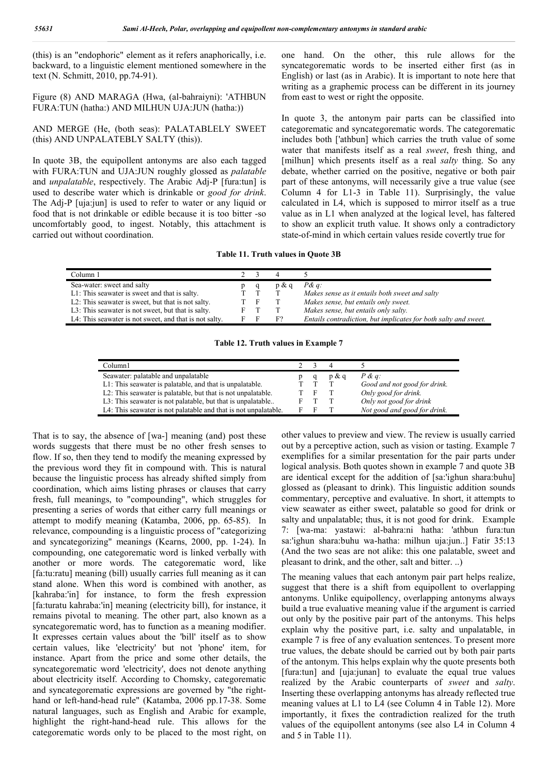(this) is an "endophoric" element as it refers anaphorically, i.e. backward, to a linguistic element mentioned somewhere in the text (N. Schmitt, 2010, pp.74-91).

Figure (8) AND MARAGA (Hwa, (al-bahraiyni): 'ATHBUN FURA:TUN (hatha:) AND MILHUN UJA:JUN (hatha:))

AND MERGE (He, (both seas): PALATABLELY SWEET (this) AND UNPALATEBLY SALTY (this)).

In quote 3B, the equipollent antonyms are also each tagged with FURA:TUN and UJA:JUN roughly glossed as *palatable* and *unpalatable*, respectively. The Arabic Adj-P [fura:tun] is used to describe water which is drinkable or *good for drink*. The Adj-P [uja:jun] is used to refer to water or any liquid or food that is not drinkable or edible because it is too bitter -so uncomfortably good, to ingest. Notably, this attachment is carried out without coordination.

one hand. On the other, this rule allows for the syncategorematic words to be inserted either first (as in English) or last (as in Arabic). It is important to note here that writing as a graphemic process can be different in its journey from east to west or right the opposite.

In quote 3, the antonym pair parts can be classified into categorematic and syncategorematic words. The categorematic includes both ['athbun] which carries the truth value of some water that manifests itself as a real *sweet*, fresh thing, and [milhun] which presents itself as a real *salty* thing. So any debate, whether carried on the positive, negative or both pair part of these antonyms, will necessarily give a true value (see Column 4 for L1-3 in Table 11). Surprisingly, the value calculated in L4, which is supposed to mirror itself as a true value as in L1 when analyzed at the logical level, has faltered to show an explicit truth value. It shows only a contradictory state-of-mind in which certain values reside covertly true for

**Table 11. Truth values in Quote 3B**

| Column 1                                               |   |          |                                                                 |
|--------------------------------------------------------|---|----------|-----------------------------------------------------------------|
| Sea-water: sweet and salty                             |   | $p \& q$ | $P\&q$ :                                                        |
| L1: This seawater is sweet and that is salty.          |   |          | Makes sense as it entails both sweet and salty                  |
| L2: This seawater is sweet, but that is not salty.     | F |          | Makes sense, but entails only sweet.                            |
| L3: This seawater is not sweet, but that is salty.     |   |          | Makes sense, but entails only salty.                            |
| L4: This seawater is not sweet, and that is not salty. |   |          | Entails contradiction, but implicates for both salty and sweet. |

**Table 12. Truth values in Example 7**

| Column1                                                                                                                                                                                                                                                                                           |                 |          |                                                                                                                               |
|---------------------------------------------------------------------------------------------------------------------------------------------------------------------------------------------------------------------------------------------------------------------------------------------------|-----------------|----------|-------------------------------------------------------------------------------------------------------------------------------|
| Seawater: palatable and unpalatable<br>L1: This seawater is palatable, and that is unpalatable.<br>L2: This seawater is palatable, but that is not unpalatable.<br>L3: This seawater is not palatable, but that is unpalatable<br>L4: This seawater is not palatable and that is not unpalatable. | $^{\mathrm{T}}$ | $p \& q$ | $P \& q$ :<br>Good and not good for drink.<br>Only good for drink.<br>Only not good for drink<br>Not good and good for drink. |

That is to say, the absence of [wa-] meaning (and) post these words suggests that there must be no other fresh senses to flow. If so, then they tend to modify the meaning expressed by the previous word they fit in compound with. This is natural because the linguistic process has already shifted simply from coordination, which aims listing phrases or clauses that carry fresh, full meanings, to "compounding", which struggles for presenting a series of words that either carry full meanings or attempt to modify meaning (Katamba, 2006, pp. 65-85). In relevance, compounding is a linguistic process of "categorizing and syncategorizing" meanings (Kearns, 2000, pp. 1-24). In compounding, one categorematic word is linked verbally with another or more words. The categorematic word, like [fa:tu:ratu] meaning (bill) usually carries full meaning as it can stand alone. When this word is combined with another, as [kahraba:'in] for instance, to form the fresh expression [fa:turatu kahraba:'in] meaning (electricity bill), for instance, it remains pivotal to meaning. The other part, also known as a syncategorematic word, has to function as a meaning modifier. It expresses certain values about the 'bill' itself as to show certain values, like 'electricity' but not 'phone' item, for instance. Apart from the price and some other details, the syncategorematic word 'electricity', does not denote anything about electricity itself. According to Chomsky, categorematic and syncategorematic expressions are governed by "the righthand or left-hand-head rule" (Katamba, 2006 pp.17-38. Some natural languages, such as English and Arabic for example, highlight the right-hand-head rule. This allows for the categorematic words only to be placed to the most right, on

other values to preview and view. The review is usually carried out by a perceptive action, such as vision or tasting. Example 7 exemplifies for a similar presentation for the pair parts under logical analysis. Both quotes shown in example 7 and quote 3B are identical except for the addition of [sa:'ighun shara:buhu] glossed as (pleasant to drink). This linguistic addition sounds commentary, perceptive and evaluative. In short, it attempts to view seawater as either sweet, palatable so good for drink or salty and unpalatable; thus, it is not good for drink. Example 7: [wa-ma: yastawi: al-bahra:ni hatha: 'athbun fura:tun sa:'ighun shara:buhu wa-hatha: milhun uja:jun..] Fatir 35:13 (And the two seas are not alike: this one palatable, sweet and pleasant to drink, and the other, salt and bitter. ..)

The meaning values that each antonym pair part helps realize, suggest that there is a shift from equipollent to overlapping antonyms. Unlike equipollency, overlapping antonyms always build a true evaluative meaning value if the argument is carried out only by the positive pair part of the antonyms. This helps explain why the positive part, i.e. salty and unpalatable, in example 7 is free of any evaluation sentences. To present more true values, the debate should be carried out by both pair parts of the antonym. This helps explain why the quote presents both [fura:tun] and [uja:junan] to evaluate the equal true values realized by the Arabic counterparts of *sweet* and *salty*. Inserting these overlapping antonyms has already reflected true meaning values at L1 to L4 (see Column 4 in Table 12). More importantly, it fixes the contradiction realized for the truth values of the equipollent antonyms (see also L4 in Column 4 and 5 in Table 11).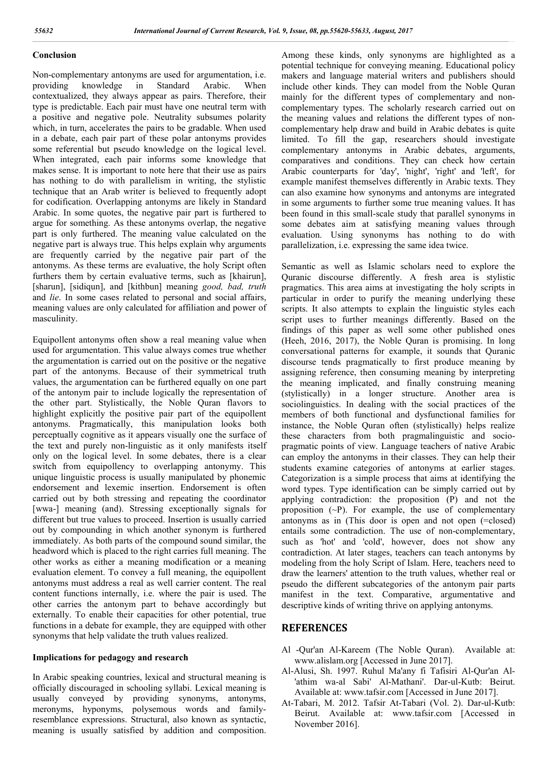### **Conclusion**

Non-complementary antonyms are used for argumentation, i.e.<br>providing knowledge in Standard Arabic. When providing knowledge in Standard Arabic. When contextualized, they always appear as pairs. Therefore, their type is predictable. Each pair must have one neutral term with a positive and negative pole. Neutrality subsumes polarity which, in turn, accelerates the pairs to be gradable. When used in a debate, each pair part of these polar antonyms provides some referential but pseudo knowledge on the logical level. When integrated, each pair informs some knowledge that makes sense. It is important to note here that their use as pairs has nothing to do with parallelism in writing, the stylistic technique that an Arab writer is believed to frequently adopt for codification. Overlapping antonyms are likely in Standard Arabic. In some quotes, the negative pair part is furthered to argue for something. As these antonyms overlap, the negative part is only furthered. The meaning value calculated on the negative part is always true. This helps explain why arguments are frequently carried by the negative pair part of the antonyms. As these terms are evaluative, the holy Script often furthers them by certain evaluative terms, such as [khairun], [sharun], [sidiqun], and [kithbun] meaning *good, bad, truth*  and *lie*. In some cases related to personal and social affairs, meaning values are only calculated for affiliation and power of masculinity.

Equipollent antonyms often show a real meaning value when used for argumentation. This value always comes true whether the argumentation is carried out on the positive or the negative part of the antonyms. Because of their symmetrical truth values, the argumentation can be furthered equally on one part of the antonym pair to include logically the representation of the other part. Stylistically, the Noble Quran flavors to highlight explicitly the positive pair part of the equipollent antonyms. Pragmatically, this manipulation looks both perceptually cognitive as it appears visually one the surface of the text and purely non-linguistic as it only manifests itself only on the logical level. In some debates, there is a clear switch from equipollency to overlapping antonymy. This unique linguistic process is usually manipulated by phonemic endorsement and lexemic insertion. Endorsement is often carried out by both stressing and repeating the coordinator [wwa-] meaning (and). Stressing exceptionally signals for different but true values to proceed. Insertion is usually carried out by compounding in which another synonym is furthered immediately. As both parts of the compound sound similar, the headword which is placed to the right carries full meaning. The other works as either a meaning modification or a meaning evaluation element. To convey a full meaning, the equipollent antonyms must address a real as well carrier content. The real content functions internally, i.e. where the pair is used. The other carries the antonym part to behave accordingly but externally. To enable their capacities for other potential, true functions in a debate for example, they are equipped with other synonyms that help validate the truth values realized.

#### **Implications for pedagogy and research**

In Arabic speaking countries, lexical and structural meaning is officially discouraged in schooling syllabi. Lexical meaning is usually conveyed by providing synonyms, antonyms, meronyms, hyponyms, polysemous words and familyresemblance expressions. Structural, also known as syntactic, meaning is usually satisfied by addition and composition. Among these kinds, only synonyms are highlighted as a potential technique for conveying meaning. Educational policy makers and language material writers and publishers should include other kinds. They can model from the Noble Quran mainly for the different types of complementary and noncomplementary types. The scholarly research carried out on the meaning values and relations the different types of noncomplementary help draw and build in Arabic debates is quite limited. To fill the gap, researchers should investigate complementary antonyms in Arabic debates, arguments, comparatives and conditions. They can check how certain Arabic counterparts for 'day', 'night', 'right' and 'left', for example manifest themselves differently in Arabic texts. They can also examine how synonyms and antonyms are integrated in some arguments to further some true meaning values. It has been found in this small-scale study that parallel synonyms in some debates aim at satisfying meaning values through evaluation. Using synonyms has nothing to do with parallelization, i.e. expressing the same idea twice.

Semantic as well as Islamic scholars need to explore the Quranic discourse differently. A fresh area is stylistic pragmatics. This area aims at investigating the holy scripts in particular in order to purify the meaning underlying these scripts. It also attempts to explain the linguistic styles each script uses to further meanings differently. Based on the findings of this paper as well some other published ones (Heeh, 2016, 2017), the Noble Quran is promising. In long conversational patterns for example, it sounds that Quranic discourse tends pragmatically to first produce meaning by assigning reference, then consuming meaning by interpreting the meaning implicated, and finally construing meaning (stylistically) in a longer structure. Another area is sociolinguistics. In dealing with the social practices of the members of both functional and dysfunctional families for instance, the Noble Quran often (stylistically) helps realize these characters from both pragmalinguistic and sociopragmatic points of view. Language teachers of native Arabic can employ the antonyms in their classes. They can help their students examine categories of antonyms at earlier stages. Categorization is a simple process that aims at identifying the word types. Type identification can be simply carried out by applying contradiction: the proposition (P) and not the proposition  $(-P)$ . For example, the use of complementary antonyms as in (This door is open and not open (=closed) entails some contradiction. The use of non-complementary, such as 'hot' and 'cold', however, does not show any contradiction. At later stages, teachers can teach antonyms by modeling from the holy Script of Islam. Here, teachers need to draw the learners' attention to the truth values, whether real or pseudo the different subcategories of the antonym pair parts manifest in the text. Comparative, argumentative and descriptive kinds of writing thrive on applying antonyms.

### **REFERENCES**

- Al -Qur'an Al-Kareem (The Noble Quran). Available at: www.alislam.org [Accessed in June 2017].
- Al-Alusi, Sh. 1997. Ruhul Ma'any fi Tafisiri Al-Qur'an Al- 'athim wa-al Sabi' Al-Mathani'. Dar-ul-Kutb: Beirut. Available at: www.tafsir.com [Accessed in June 2017].
- At-Tabari, M. 2012. Tafsir At-Tabari (Vol. 2). Dar-ul-Kutb: Beirut. Available at: www.tafsir.com [Accessed in November 2016].